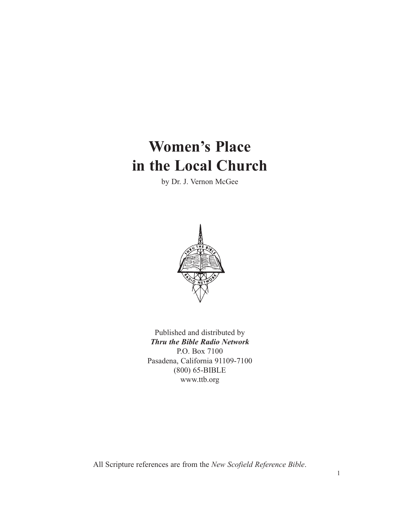# **Women's Place in the Local Church**

by Dr. J. Vernon McGee



Published and distributed by *Thru the Bible Radio Network* P.O. Box 7100 Pasadena, California 91109-7100 (800) 65-BIBLE www.ttb.org

All Scripture references are from the *New Scofield Reference Bible*.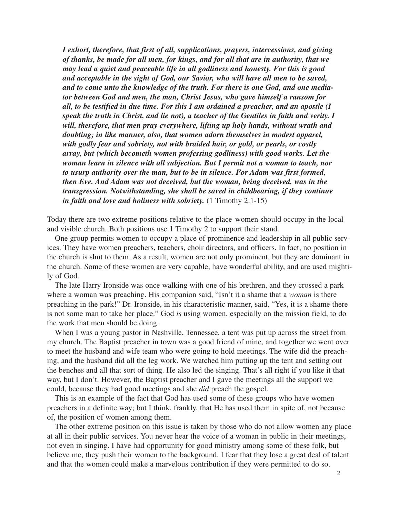*I exhort, therefore, that first of all, supplications, prayers, intercessions, and giving of thanks, be made for all men, for kings, and for all that are in authority, that we may lead a quiet and peaceable life in all godliness and honesty. For this is good and acceptable in the sight of God, our Savior, who will have all men to be saved, and to come unto the knowledge of the truth. For there is one God, and one mediator between God and men, the man, Christ Jesus, who gave himself a ransom for all, to be testified in due time. For this I am ordained a preacher, and an apostle (I speak the truth in Christ, and lie not), a teacher of the Gentiles in faith and verity. I will, therefore, that men pray everywhere, lifting up holy hands, without wrath and doubting; in like manner, also, that women adorn themselves in modest apparel, with godly fear and sobriety, not with braided hair, or gold, or pearls, or costly array, but (which becometh women professing godliness) with good works. Let the woman learn in silence with all subjection. But I permit not a woman to teach, nor to usurp authority over the man, but to be in silence. For Adam was first formed, then Eve. And Adam was not deceived, but the woman, being deceived, was in the transgression. Notwithstanding, she shall be saved in childbearing, if they continue in faith and love and holiness with sobriety.* (1 Timothy 2:1-15)

Today there are two extreme positions relative to the place women should occupy in the local and visible church. Both positions use 1 Timothy 2 to support their stand.

One group permits women to occupy a place of prominence and leadership in all public services. They have women preachers, teachers, choir directors, and officers. In fact, no position in the church is shut to them. As a result, women are not only prominent, but they are dominant in the church. Some of these women are very capable, have wonderful ability, and are used mightily of God.

The late Harry Ironside was once walking with one of his brethren, and they crossed a park where a woman was preaching. His companion said, "Isn't it a shame that a *woman* is there preaching in the park!" Dr. Ironside, in his characteristic manner, said, "Yes, it is a shame there is not some man to take her place." God *is* using women, especially on the mission field, to do the work that men should be doing.

When I was a young pastor in Nashville, Tennessee, a tent was put up across the street from my church. The Baptist preacher in town was a good friend of mine, and together we went over to meet the husband and wife team who were going to hold meetings. The wife did the preaching, and the husband did all the leg work. We watched him putting up the tent and setting out the benches and all that sort of thing. He also led the singing. That's all right if you like it that way, but I don't. However, the Baptist preacher and I gave the meetings all the support we could, because they had good meetings and she *did* preach the gospel.

This is an example of the fact that God has used some of these groups who have women preachers in a definite way; but I think, frankly, that He has used them in spite of, not because of, the position of women among them.

The other extreme position on this issue is taken by those who do not allow women any place at all in their public services. You never hear the voice of a woman in public in their meetings, not even in singing. I have had opportunity for good ministry among some of these folk, but believe me, they push their women to the background. I fear that they lose a great deal of talent and that the women could make a marvelous contribution if they were permitted to do so.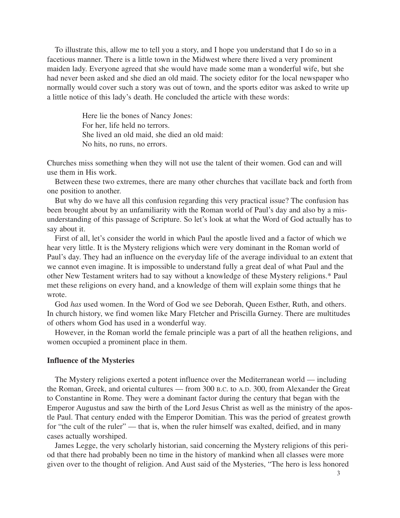To illustrate this, allow me to tell you a story, and I hope you understand that I do so in a facetious manner. There is a little town in the Midwest where there lived a very prominent maiden lady. Everyone agreed that she would have made some man a wonderful wife, but she had never been asked and she died an old maid. The society editor for the local newspaper who normally would cover such a story was out of town, and the sports editor was asked to write up a little notice of this lady's death. He concluded the article with these words:

> Here lie the bones of Nancy Jones: For her, life held no terrors. She lived an old maid, she died an old maid: No hits, no runs, no errors.

Churches miss something when they will not use the talent of their women. God can and will use them in His work.

Between these two extremes, there are many other churches that vacillate back and forth from one position to another.

But why do we have all this confusion regarding this very practical issue? The confusion has been brought about by an unfamiliarity with the Roman world of Paul's day and also by a misunderstanding of this passage of Scripture. So let's look at what the Word of God actually has to say about it.

First of all, let's consider the world in which Paul the apostle lived and a factor of which we hear very little. It is the Mystery religions which were very dominant in the Roman world of Paul's day. They had an influence on the everyday life of the average individual to an extent that we cannot even imagine. It is impossible to understand fully a great deal of what Paul and the other New Testament writers had to say without a knowledge of these Mystery religions.\* Paul met these religions on every hand, and a knowledge of them will explain some things that he wrote.

God *has* used women. In the Word of God we see Deborah, Queen Esther, Ruth, and others. In church history, we find women like Mary Fletcher and Priscilla Gurney. There are multitudes of others whom God has used in a wonderful way.

However, in the Roman world the female principle was a part of all the heathen religions, and women occupied a prominent place in them.

#### **Influence of the Mysteries**

The Mystery religions exerted a potent influence over the Mediterranean world — including the Roman, Greek, and oriental cultures — from 300 B.C. to A.D. 300, from Alexander the Great to Constantine in Rome. They were a dominant factor during the century that began with the Emperor Augustus and saw the birth of the Lord Jesus Christ as well as the ministry of the apostle Paul. That century ended with the Emperor Domitian. This was the period of greatest growth for "the cult of the ruler" — that is, when the ruler himself was exalted, deified, and in many cases actually worshiped.

James Legge, the very scholarly historian, said concerning the Mystery religions of this period that there had probably been no time in the history of mankind when all classes were more given over to the thought of religion. And Aust said of the Mysteries, "The hero is less honored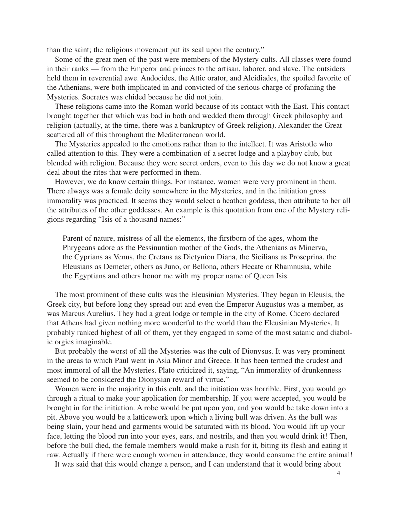than the saint; the religious movement put its seal upon the century."

Some of the great men of the past were members of the Mystery cults. All classes were found in their ranks — from the Emperor and princes to the artisan, laborer, and slave. The outsiders held them in reverential awe. Andocides, the Attic orator, and Alcidiades, the spoiled favorite of the Athenians, were both implicated in and convicted of the serious charge of profaning the Mysteries. Socrates was chided because he did not join.

These religions came into the Roman world because of its contact with the East. This contact brought together that which was bad in both and wedded them through Greek philosophy and religion (actually, at the time, there was a bankruptcy of Greek religion). Alexander the Great scattered all of this throughout the Mediterranean world.

The Mysteries appealed to the emotions rather than to the intellect. It was Aristotle who called attention to this. They were a combination of a secret lodge and a playboy club, but blended with religion. Because they were secret orders, even to this day we do not know a great deal about the rites that were performed in them.

However, we do know certain things. For instance, women were very prominent in them. There always was a female deity somewhere in the Mysteries, and in the initiation gross immorality was practiced. It seems they would select a heathen goddess, then attribute to her all the attributes of the other goddesses. An example is this quotation from one of the Mystery religions regarding "Isis of a thousand names:"

Parent of nature, mistress of all the elements, the firstborn of the ages, whom the Phrygeans adore as the Pessinuntian mother of the Gods, the Athenians as Minerva, the Cyprians as Venus, the Cretans as Dictynion Diana, the Sicilians as Proseprina, the Eleusians as Demeter, others as Juno, or Bellona, others Hecate or Rhamnusia, while the Egyptians and others honor me with my proper name of Queen Isis.

The most prominent of these cults was the Eleusinian Mysteries. They began in Eleusis, the Greek city, but before long they spread out and even the Emperor Augustus was a member, as was Marcus Aurelius. They had a great lodge or temple in the city of Rome. Cicero declared that Athens had given nothing more wonderful to the world than the Eleusinian Mysteries. It probably ranked highest of all of them, yet they engaged in some of the most satanic and diabolic orgies imaginable.

But probably the worst of all the Mysteries was the cult of Dionysus. It was very prominent in the areas to which Paul went in Asia Minor and Greece. It has been termed the crudest and most immoral of all the Mysteries. Plato criticized it, saying, "An immorality of drunkenness seemed to be considered the Dionysian reward of virtue."

Women were in the majority in this cult, and the initiation was horrible. First, you would go through a ritual to make your application for membership. If you were accepted, you would be brought in for the initiation. A robe would be put upon you, and you would be take down into a pit. Above you would be a latticework upon which a living bull was driven. As the bull was being slain, your head and garments would be saturated with its blood. You would lift up your face, letting the blood run into your eyes, ears, and nostrils, and then you would drink it! Then, before the bull died, the female members would make a rush for it, biting its flesh and eating it raw. Actually if there were enough women in attendance, they would consume the entire animal!

It was said that this would change a person, and I can understand that it would bring about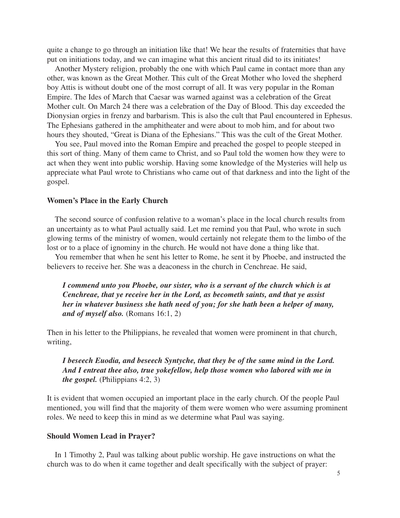quite a change to go through an initiation like that! We hear the results of fraternities that have put on initiations today, and we can imagine what this ancient ritual did to its initiates!

Another Mystery religion, probably the one with which Paul came in contact more than any other, was known as the Great Mother. This cult of the Great Mother who loved the shepherd boy Attis is without doubt one of the most corrupt of all. It was very popular in the Roman Empire. The Ides of March that Caesar was warned against was a celebration of the Great Mother cult. On March 24 there was a celebration of the Day of Blood. This day exceeded the Dionysian orgies in frenzy and barbarism. This is also the cult that Paul encountered in Ephesus. The Ephesians gathered in the amphitheater and were about to mob him, and for about two hours they shouted, "Great is Diana of the Ephesians." This was the cult of the Great Mother.

You see, Paul moved into the Roman Empire and preached the gospel to people steeped in this sort of thing. Many of them came to Christ, and so Paul told the women how they were to act when they went into public worship. Having some knowledge of the Mysteries will help us appreciate what Paul wrote to Christians who came out of that darkness and into the light of the gospel.

#### **Women's Place in the Early Church**

The second source of confusion relative to a woman's place in the local church results from an uncertainty as to what Paul actually said. Let me remind you that Paul, who wrote in such glowing terms of the ministry of women, would certainly not relegate them to the limbo of the lost or to a place of ignominy in the church. He would not have done a thing like that.

You remember that when he sent his letter to Rome, he sent it by Phoebe, and instructed the believers to receive her. She was a deaconess in the church in Cenchreae. He said,

*I commend unto you Phoebe, our sister, who is a servant of the church which is at Cenchreae, that ye receive her in the Lord, as becometh saints, and that ye assist her in whatever business she hath need of you; for she hath been a helper of many, and of myself also.* (Romans 16:1, 2)

Then in his letter to the Philippians, he revealed that women were prominent in that church, writing,

## *I beseech Euodia, and beseech Syntyche, that they be of the same mind in the Lord. And I entreat thee also, true yokefellow, help those women who labored with me in the gospel.* (Philippians 4:2, 3)

It is evident that women occupied an important place in the early church. Of the people Paul mentioned, you will find that the majority of them were women who were assuming prominent roles. We need to keep this in mind as we determine what Paul was saying.

#### **Should Women Lead in Prayer?**

In 1 Timothy 2, Paul was talking about public worship. He gave instructions on what the church was to do when it came together and dealt specifically with the subject of prayer: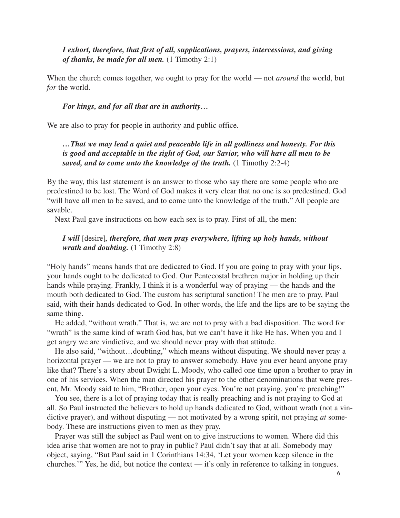*I exhort, therefore, that first of all, supplications, prayers, intercessions, and giving of thanks, be made for all men.* (1 Timothy 2:1)

When the church comes together, we ought to pray for the world — not *around* the world, but *for* the world.

### *For kings, and for all that are in authority…*

We are also to pray for people in authority and public office.

# *…That we may lead a quiet and peaceable life in all godliness and honesty. For this is good and acceptable in the sight of God, our Savior, who will have all men to be saved, and to come unto the knowledge of the truth.* (1 Timothy 2:2-4)

By the way, this last statement is an answer to those who say there are some people who are predestined to be lost. The Word of God makes it very clear that no one is so predestined. God "will have all men to be saved, and to come unto the knowledge of the truth." All people are savable.

Next Paul gave instructions on how each sex is to pray. First of all, the men:

## *I will* [desire]*, therefore, that men pray everywhere, lifting up holy hands, without wrath and doubting.* (1 Timothy 2:8)

"Holy hands" means hands that are dedicated to God. If you are going to pray with your lips, your hands ought to be dedicated to God. Our Pentecostal brethren major in holding up their hands while praying. Frankly, I think it is a wonderful way of praying — the hands and the mouth both dedicated to God. The custom has scriptural sanction! The men are to pray, Paul said, with their hands dedicated to God. In other words, the life and the lips are to be saying the same thing.

He added, "without wrath." That is, we are not to pray with a bad disposition. The word for "wrath" is the same kind of wrath God has, but we can't have it like He has. When you and I get angry we are vindictive, and we should never pray with that attitude.

He also said, "without…doubting," which means without disputing. We should never pray a horizontal prayer — we are not to pray to answer somebody. Have you ever heard anyone pray like that? There's a story about Dwight L. Moody, who called one time upon a brother to pray in one of his services. When the man directed his prayer to the other denominations that were present, Mr. Moody said to him, "Brother, open your eyes. You're not praying, you're preaching!"

You see, there is a lot of praying today that is really preaching and is not praying to God at all. So Paul instructed the believers to hold up hands dedicated to God, without wrath (not a vindictive prayer), and without disputing — not motivated by a wrong spirit, not praying *at* somebody. These are instructions given to men as they pray.

Prayer was still the subject as Paul went on to give instructions to women. Where did this idea arise that women are not to pray in public? Paul didn't say that at all. Somebody may object, saying, "But Paul said in 1 Corinthians 14:34, 'Let your women keep silence in the churches.'" Yes, he did, but notice the context — it's only in reference to talking in tongues.

6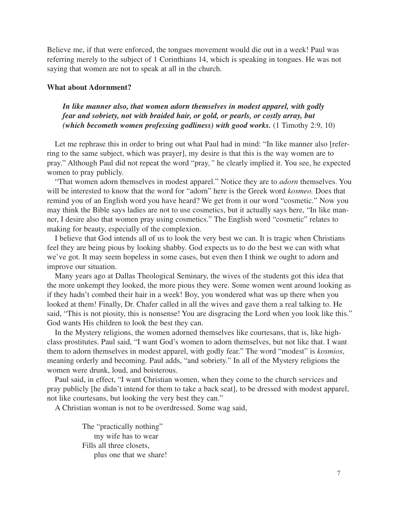Believe me, if that were enforced, the tongues movement would die out in a week! Paul was referring merely to the subject of 1 Corinthians 14, which is speaking in tongues. He was not saying that women are not to speak at all in the church.

#### **What about Adornment?**

*In like manner also, that women adorn themselves in modest apparel, with godly fear and sobriety, not with braided hair, or gold, or pearls, or costly array, but (which becometh women professing godliness) with good works.* (1 Timothy 2:9, 10)

Let me rephrase this in order to bring out what Paul had in mind: "In like manner also [referring to the same subject, which was prayer], my desire is that this is the way women are to pray." Although Paul did not repeat the word "pray*,"* he clearly implied it. You see, he expected women to pray publicly.

"That women adorn themselves in modest apparel." Notice they are to *adorn* themselves. You will be interested to know that the word for "adorn" here is the Greek word *kosmeo.* Does that remind you of an English word you have heard? We get from it our word "cosmetic." Now you may think the Bible says ladies are not to use cosmetics, but it actually says here, "In like manner, I desire also that women pray using cosmetics." The English word "cosmetic" relates to making for beauty, especially of the complexion.

I believe that God intends all of us to look the very best we can. It is tragic when Christians feel they are being pious by looking shabby. God expects us to do the best we can with what we've got. It may seem hopeless in some cases, but even then I think we ought to adorn and improve our situation.

Many years ago at Dallas Theological Seminary, the wives of the students got this idea that the more unkempt they looked, the more pious they were. Some women went around looking as if they hadn't combed their hair in a week! Boy, you wondered what was up there when you looked at them! Finally, Dr. Chafer called in all the wives and gave them a real talking to. He said, "This is not piosity, this is nonsense! You are disgracing the Lord when you look like this." God wants His children to look the best they can.

In the Mystery religions, the women adorned themselves like courtesans, that is, like highclass prostitutes. Paul said, "I want God's women to adorn themselves, but not like that. I want them to adorn themselves in modest apparel, with godly fear." The word "modest" is *kosmios*, meaning orderly and becoming. Paul adds, "and sobriety." In all of the Mystery religions the women were drunk, loud, and boisterous.

Paul said, in effect, "I want Christian women, when they come to the church services and pray publicly [he didn't intend for them to take a back seat], to be dressed with modest apparel, not like courtesans, but looking the very best they can."

A Christian woman is not to be overdressed. Some wag said,

The "practically nothing" my wife has to wear Fills all three closets, plus one that we share!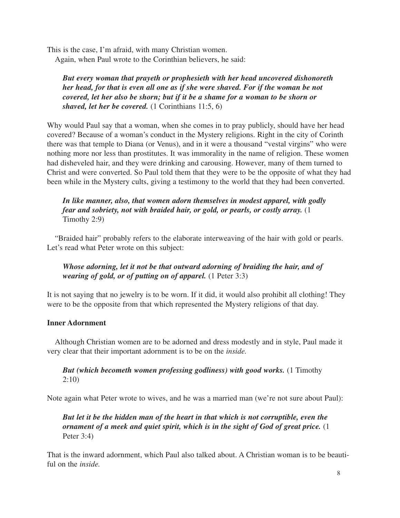This is the case, I'm afraid, with many Christian women. Again, when Paul wrote to the Corinthian believers, he said:

*But every woman that prayeth or prophesieth with her head uncovered dishonoreth her head, for that is even all one as if she were shaved. For if the woman be not covered, let her also be shorn; but if it be a shame for a woman to be shorn or shaved, let her be covered.* (1 Corinthians 11:5, 6)

Why would Paul say that a woman, when she comes in to pray publicly, should have her head covered? Because of a woman's conduct in the Mystery religions. Right in the city of Corinth there was that temple to Diana (or Venus), and in it were a thousand "vestal virgins" who were nothing more nor less than prostitutes. It was immorality in the name of religion. These women had disheveled hair, and they were drinking and carousing. However, many of them turned to Christ and were converted. So Paul told them that they were to be the opposite of what they had been while in the Mystery cults, giving a testimony to the world that they had been converted.

# *In like manner, also, that women adorn themselves in modest apparel, with godly fear and sobriety, not with braided hair, or gold, or pearls, or costly array.* (1 Timothy 2:9)

"Braided hair" probably refers to the elaborate interweaving of the hair with gold or pearls. Let's read what Peter wrote on this subject:

# *Whose adorning, let it not be that outward adorning of braiding the hair, and of wearing of gold, or of putting on of apparel.* (1 Peter 3:3)

It is not saying that no jewelry is to be worn. If it did, it would also prohibit all clothing! They were to be the opposite from that which represented the Mystery religions of that day.

## **Inner Adornment**

Although Christian women are to be adorned and dress modestly and in style, Paul made it very clear that their important adornment is to be on the *inside.*

## *But (which becometh women professing godliness) with good works.* (1 Timothy 2:10)

Note again what Peter wrote to wives, and he was a married man (we're not sure about Paul):

*But let it be the hidden man of the heart in that which is not corruptible, even the ornament of a meek and quiet spirit, which is in the sight of God of great price.* (1 Peter 3:4)

That is the inward adornment, which Paul also talked about. A Christian woman is to be beautiful on the *inside.*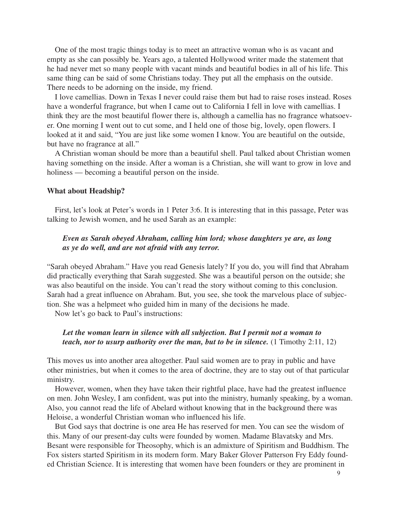One of the most tragic things today is to meet an attractive woman who is as vacant and empty as she can possibly be. Years ago, a talented Hollywood writer made the statement that he had never met so many people with vacant minds and beautiful bodies in all of his life. This same thing can be said of some Christians today. They put all the emphasis on the outside. There needs to be adorning on the inside, my friend.

I love camellias. Down in Texas I never could raise them but had to raise roses instead. Roses have a wonderful fragrance, but when I came out to California I fell in love with camellias. I think they are the most beautiful flower there is, although a camellia has no fragrance whatsoever. One morning I went out to cut some, and I held one of those big, lovely, open flowers. I looked at it and said, "You are just like some women I know. You are beautiful on the outside, but have no fragrance at all."

A Christian woman should be more than a beautiful shell. Paul talked about Christian women having something on the inside. After a woman is a Christian, she will want to grow in love and holiness — becoming a beautiful person on the inside.

#### **What about Headship?**

First, let's look at Peter's words in 1 Peter 3:6. It is interesting that in this passage, Peter was talking to Jewish women, and he used Sarah as an example:

## *Even as Sarah obeyed Abraham, calling him lord; whose daughters ye are, as long as ye do well, and are not afraid with any terror.*

"Sarah obeyed Abraham." Have you read Genesis lately? If you do, you will find that Abraham did practically everything that Sarah suggested. She was a beautiful person on the outside; she was also beautiful on the inside. You can't read the story without coming to this conclusion. Sarah had a great influence on Abraham. But, you see, she took the marvelous place of subjection. She was a helpmeet who guided him in many of the decisions he made.

Now let's go back to Paul's instructions:

## *Let the woman learn in silence with all subjection. But I permit not a woman to teach, nor to usurp authority over the man, but to be in silence.* (1 Timothy 2:11, 12)

This moves us into another area altogether. Paul said women are to pray in public and have other ministries, but when it comes to the area of doctrine, they are to stay out of that particular ministry.

However, women, when they have taken their rightful place, have had the greatest influence on men. John Wesley, I am confident, was put into the ministry, humanly speaking, by a woman. Also, you cannot read the life of Abelard without knowing that in the background there was Heloise, a wonderful Christian woman who influenced his life.

But God says that doctrine is one area He has reserved for men. You can see the wisdom of this. Many of our present-day cults were founded by women. Madame Blavatsky and Mrs. Besant were responsible for Theosophy, which is an admixture of Spiritism and Buddhism. The Fox sisters started Spiritism in its modern form. Mary Baker Glover Patterson Fry Eddy founded Christian Science. It is interesting that women have been founders or they are prominent in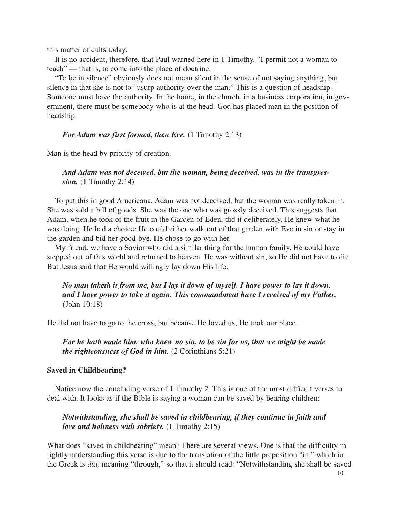this matter of cults today.

It is no accident, therefore, that Paul warned here in 1 Timothy, "I permit not a woman to teach" — that is, to come into the place of doctrine.

"To be in silence" obviously does not mean silent in the sense of not saying anything, but silence in that she is not to "usurp authority over the man." This is a question of headship. Someone must have the authority. In the home, in the church, in a business corporation, in government, there must be somebody who is at the head. God has placed man in the position of headship.

#### *For Adam was first formed, then Eve.* (1 Timothy 2:13)

Man is the head by priority of creation.

## *And Adam was not deceived, but the woman, being deceived, was in the transgression.* (1 Timothy 2:14)

To put this in good Americana, Adam was not deceived, but the woman was really taken in. She was sold a bill of goods. She was the one who was grossly deceived. This suggests that Adam, when he took of the fruit in the Garden of Eden, did it deliberately. He knew what he was doing. He had a choice: He could either walk out of that garden with Eve in sin or stay in the garden and bid her good-bye. He chose to go with her.

My friend, we have a Savior who did a similar thing for the human family. He could have stepped out of this world and returned to heaven. He was without sin, so He did not have to die. But Jesus said that He would willingly lay down His life:

## *No man taketh it from me, but I lay it down of myself. I have power to lay it down, and I have power to take it again. This commandment have I received of my Father.* (John 10:18)

He did not have to go to the cross, but because He loved us, He took our place.

*For he hath made him, who knew no sin, to be sin for us, that we might be made the righteousness of God in him.* (2 Corinthians 5:21)

### **Saved in Childbearing?**

Notice now the concluding verse of 1 Timothy 2. This is one of the most difficult verses to deal with. It looks as if the Bible is saying a woman can be saved by bearing children:

## *Notwithstanding, she shall be saved in childbearing, if they continue in faith and love and holiness with sobriety.* (1 Timothy 2:15)

What does "saved in childbearing" mean? There are several views. One is that the difficulty in rightly understanding this verse is due to the translation of the little preposition "in," which in the Greek is *dia,* meaning "through," so that it should read: "Notwithstanding she shall be saved